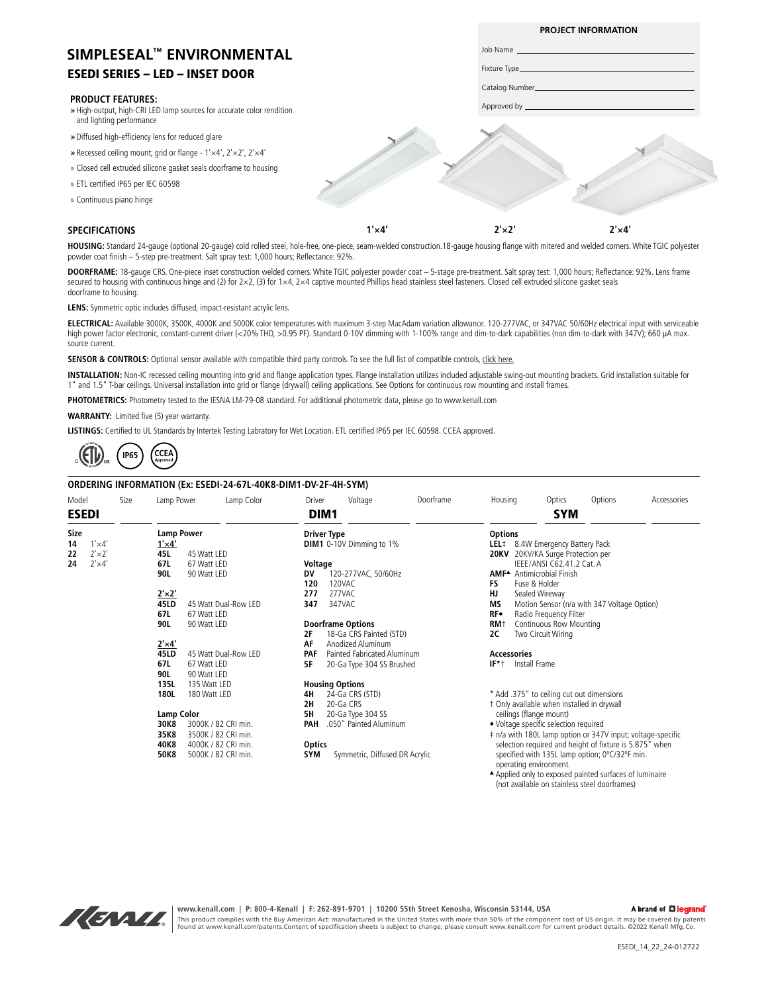## ESEDI SERIES – LED – INSET DOOR **SIMPLESEAL™ ENVIRONMENTAL**

#### **PRODUCT FEATURES:**

- *»* High-output, high-CRI LED lamp sources for accurate color rendition and lighting performance
- *»* Diffused high-efficiency lens for reduced glare
- *»* Recessed ceiling mount; grid or flange 1'×4', 2'×2', 2'×4'
- » Closed cell extruded silicone gasket seals doorframe to housing
- » ETL certified IP65 per IEC 60598
- » Continuous piano hinge

### **SPECIFICATIONS**

**1'×4' 2'×2' 2'×4'**

**PROJECT INFORMATION**

Job Name Fixture Type Catalog Number Approved by

HOUSING: Standard 24-gauge (optional 20-gauge) cold rolled steel, hole-free, one-piece, seam-welded construction.18-gauge housing flange with mitered and welded corners. White TGIC polyester powder coat finish – 5-step pre-treatment. Salt spray test: 1,000 hours; Reflectance: 92%.

**DOORFRAME:** 18-gauge CRS. One-piece inset construction welded corners. White TGIC polyester powder coat – 5-stage pre-treatment. Salt spray test: 1,000 hours; Reflectance: 92%. Lens frame secured to housing with continuous hinge and (2) for  $2\times 2$ , (3) for  $1\times 4$ ,  $2\times 4$  captive mounted Phillips head stainless steel fasteners. Closed cell extruded silicone gasket seals doorframe to housing.

**LENS:** Symmetric optic includes diffused, impact-resistant acrylic lens.

**ELECTRICAL:** Available 3000K, 3500K, 4000K and 5000K color temperatures with maximum 3-step MacAdam variation allowance. 120-277VAC, or 347VAC 50/60Hz electrical input with serviceable high power factor electronic, constant-current driver (<20% THD, >0.95 PF). Standard 0-10V dimming with 1-100% range and dim-to-dark capabilities (non dim-to-dark with 347V); 660 µA max. source current.

SENSOR & CONTROLS: Optional sensor available with compatible third party controls. To see the full list of compatible controls, [click here.](https://kenall.com/Third-Party-Controls)

**INSTALLATION:** Non-IC recessed ceiling mounting into grid and flange application types. Flange installation utilizes included adjustable swing-out mounting brackets. Grid installation suitable for 1" and 1.5" T-bar ceilings. Universal installation into grid or flange (drywall) ceiling applications. See Options for continuous row mounting and install frames.

**PHOTOMETRICS:** Photometry tested to the IESNA LM-79-08 standard. For additional photometric data, please go to www.kenall.com

**WARRANTY:** Limited five (5) year warranty.

**LISTINGS:** Certified to UL Standards by Intertek Testing Labratory for Wet Location. ETL certified IP65 per IEC 60598. CCEA approved.



### **ORDERING INFORMATION (Ex: ESEDI-24-67L-40K8-DIM1-DV-2F-4H-SYM)**

| Model                |                | Size                        | Lamp Power                  |                     | Lamp Color           | Driver                                                                 | Voltage                        | Doorframe                        | Housing                                                                                                                |                    | Optics                                      | Options                                               | Accessories |
|----------------------|----------------|-----------------------------|-----------------------------|---------------------|----------------------|------------------------------------------------------------------------|--------------------------------|----------------------------------|------------------------------------------------------------------------------------------------------------------------|--------------------|---------------------------------------------|-------------------------------------------------------|-------------|
| <b>ESEDI</b>         |                |                             |                             |                     |                      |                                                                        | DIM1                           |                                  |                                                                                                                        | <b>SYM</b>         |                                             |                                                       |             |
| <b>Size</b>          |                |                             | <b>Lamp Power</b>           |                     |                      |                                                                        | <b>Driver Type</b>             |                                  | <b>Options</b>                                                                                                         |                    |                                             |                                                       |             |
| $1' \times 4'$<br>14 |                |                             | $1' \times 4'$              |                     |                      | <b>DIM1</b> 0-10V Dimming to 1%                                        |                                | LEL# 8.4W Emergency Battery Pack |                                                                                                                        |                    |                                             |                                                       |             |
| $2' \times 2'$<br>22 |                |                             | 45L                         | 45 Watt LED         |                      |                                                                        |                                |                                  | 20KV 20KV/KA Surge Protection per                                                                                      |                    |                                             |                                                       |             |
| 24                   | $2' \times 4'$ |                             | 67L                         | 67 Watt LED         |                      | Voltage                                                                |                                | IEEE/ANSI C62.41.2 Cat. A        |                                                                                                                        |                    |                                             |                                                       |             |
|                      |                |                             | 90L                         | 90 Watt LED         |                      | DV                                                                     | 120-277VAC, 50/60Hz            |                                  |                                                                                                                        |                    | <b>AMF<sup>▲</sup></b> Antimicrobial Finish |                                                       |             |
|                      |                |                             |                             |                     |                      | 120                                                                    | 120VAC                         |                                  | FS                                                                                                                     |                    | Fuse & Holder                               |                                                       |             |
|                      |                |                             | $2' \times 2'$              |                     |                      | 277                                                                    | 277VAC                         |                                  | HJ                                                                                                                     |                    | Sealed Wireway                              |                                                       |             |
|                      |                |                             | 45LD                        |                     | 45 Watt Dual-Row LED | 347                                                                    | 347VAC                         |                                  | ΜS                                                                                                                     |                    |                                             | Motion Sensor (n/a with 347 Voltage Option)           |             |
|                      |                |                             | 67L                         | 67 Watt LED         |                      |                                                                        |                                |                                  | RF∙                                                                                                                    |                    | Radio Frequency Filter                      |                                                       |             |
|                      |                |                             | 90L                         | 90 Watt LED         |                      |                                                                        | <b>Doorframe Options</b>       |                                  | RM <sup>+</sup>                                                                                                        |                    | Continuous Row Mounting                     |                                                       |             |
|                      |                |                             |                             |                     |                      | 2F                                                                     | 18-Ga CRS Painted (STD)        |                                  | 2C                                                                                                                     |                    | Two Circuit Wiring                          |                                                       |             |
|                      |                |                             | $2' \times 4'$              |                     |                      | AF                                                                     | Anodized Aluminum              |                                  |                                                                                                                        |                    |                                             |                                                       |             |
|                      |                |                             | <b>45LD</b>                 |                     | 45 Watt Dual-Row LED | PAF                                                                    | Painted Fabricated Aluminum    |                                  |                                                                                                                        | <b>Accessories</b> |                                             |                                                       |             |
|                      |                |                             | 67L                         | 67 Watt LED         |                      | 5F                                                                     | 20-Ga Type 304 SS Brushed      |                                  |                                                                                                                        | IF*1 Install Frame |                                             |                                                       |             |
|                      |                |                             | 90L                         | 90 Watt LED         |                      |                                                                        |                                |                                  |                                                                                                                        |                    |                                             |                                                       |             |
|                      |                |                             | 135L                        | 135 Watt LED        |                      |                                                                        | <b>Housing Options</b>         |                                  |                                                                                                                        |                    |                                             |                                                       |             |
|                      |                |                             | 180L                        | 180 Watt LED        |                      | 4Η                                                                     | 24-Ga CRS (STD)                |                                  |                                                                                                                        |                    |                                             | * Add .375" to ceiling cut out dimensions             |             |
|                      |                |                             |                             |                     |                      | 2H                                                                     | 20-Ga CRS                      |                                  |                                                                                                                        |                    | t Only available when installed in drywall  |                                                       |             |
|                      |                |                             | <b>Lamp Color</b><br>5H     |                     |                      |                                                                        | 20-Ga Type 304 SS              |                                  | ceilings (flange mount)                                                                                                |                    |                                             |                                                       |             |
|                      |                |                             | 3000K / 82 CRI min.<br>30K8 |                     |                      | PAH<br>.050" Painted Aluminum<br>• Voltage specific selection required |                                |                                  |                                                                                                                        |                    |                                             |                                                       |             |
|                      |                |                             | 35K8                        | 3500K / 82 CRI min. |                      |                                                                        |                                |                                  |                                                                                                                        |                    |                                             |                                                       |             |
|                      |                | 4000K / 82 CRI min.<br>40K8 |                             |                     |                      | <b>Optics</b>                                                          |                                |                                  | # n/a with 180L lamp option or 347V input; voltage-specific<br>selection required and height of fixture is 5.875" when |                    |                                             |                                                       |             |
|                      |                |                             | 50K8                        | 5000K / 82 CRI min. |                      | <b>SYM</b>                                                             | Symmetric, Diffused DR Acrylic |                                  |                                                                                                                        |                    |                                             | specified with 135L lamp option; 0°C/32°F min.        |             |
|                      |                |                             |                             |                     |                      |                                                                        |                                |                                  |                                                                                                                        |                    |                                             |                                                       |             |
|                      |                |                             |                             |                     |                      |                                                                        |                                |                                  |                                                                                                                        |                    | operating environment.                      | Applied only to exposed painted surfaces of luminaire |             |
|                      |                |                             |                             |                     |                      |                                                                        |                                |                                  |                                                                                                                        |                    |                                             | (not available on stainless steel doorframes)         |             |



**www.kenall.com | P: 800-4-Kenall | F: 262-891-9701 | 10200 55th Street Kenosha, Wisconsin 53144, USA**  A brand of Lilegrand This product complies with the Buy American Act: manufactured in the United States with more than 50% of the component cost of US origin. It may be covered by patents<br>found at www.kenall.com/patents.Content of specificatio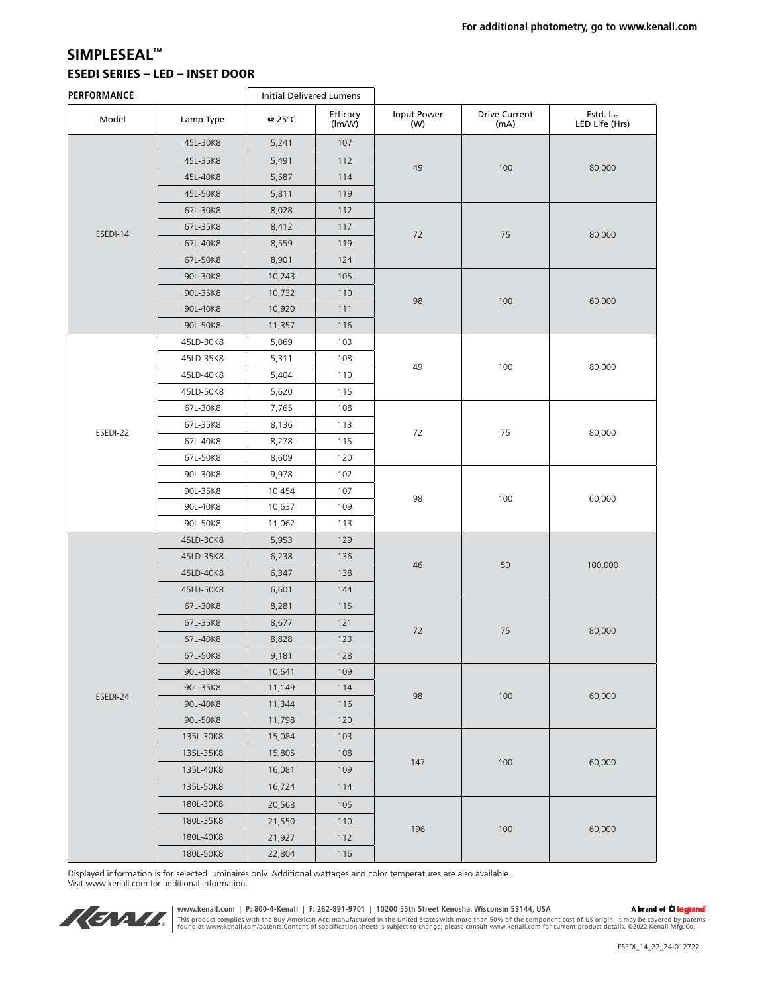## ESEDI SERIES – LED – INSET DOOR **SIMPLESEAL™**

| PERFORMANCE |           | <b>Initial Delivered Lumens</b> |                    |                    |                              |                                         |  |
|-------------|-----------|---------------------------------|--------------------|--------------------|------------------------------|-----------------------------------------|--|
| Model       | Lamp Type | @ 25°C                          | Efficacy<br>(lm/W) | Input Power<br>(W) | <b>Drive Current</b><br>(mA) | Estd. L <sub>70</sub><br>LED Life (Hrs) |  |
|             | 45L-30K8  | 5,241                           | 107                |                    |                              | 80,000                                  |  |
|             | 45L-35K8  | 5,491                           | 112                |                    | 100                          |                                         |  |
|             | 45L-40K8  | 5,587                           | 114                | 49                 |                              |                                         |  |
|             | 45L-50K8  | 5,811                           | 119                |                    |                              |                                         |  |
|             | 67L-30K8  | 8,028                           | 112                |                    |                              |                                         |  |
| ESEDI-14    | 67L-35K8  | 8,412                           | 117                | 72                 | 75                           | 80,000                                  |  |
|             | 67L-40K8  | 8,559                           | 119                |                    |                              |                                         |  |
|             | 67L-50K8  | 8,901                           | 124                |                    |                              |                                         |  |
|             | 90L-30K8  | 10,243                          | 105                |                    | 100                          | 60,000                                  |  |
|             | 90L-35K8  | 10,732                          | 110                |                    |                              |                                         |  |
|             | 90L-40K8  | 10,920                          | 111                | 98                 |                              |                                         |  |
|             | 90L-50K8  | 11,357                          | 116                |                    |                              |                                         |  |
|             | 45LD-30K8 | 5,069                           | 103                | 49                 | 100                          | 80,000                                  |  |
|             | 45LD-35K8 | 5,311                           | 108                |                    |                              |                                         |  |
|             | 45LD-40K8 | 5,404                           | 110                |                    |                              |                                         |  |
|             | 45LD-50K8 | 5,620                           | 115                |                    |                              |                                         |  |
|             | 67L-30K8  | 7,765                           | 108                |                    |                              |                                         |  |
|             | 67L-35K8  | 8,136                           | 113                | 72                 | 75                           | 80,000                                  |  |
| ESEDI-22    | 67L-40K8  | 8,278                           | 115                |                    |                              |                                         |  |
|             | 67L-50K8  | 8,609                           | 120                |                    |                              |                                         |  |
|             | 90L-30K8  | 9,978                           | 102                |                    |                              |                                         |  |
|             | 90L-35K8  | 10,454                          | 107                | 98                 | 100                          | 60,000                                  |  |
|             | 90L-40K8  | 10,637                          | 109                |                    |                              |                                         |  |
|             | 90L-50K8  | 11,062                          | 113                |                    |                              |                                         |  |
|             | 45LD-30K8 | 5,953                           | 129                |                    |                              |                                         |  |
|             | 45LD-35K8 | 6,238                           | 136                | 46                 | 50                           | 100,000                                 |  |
|             | 45LD-40K8 | 6,347                           | 138                |                    |                              |                                         |  |
|             | 45LD-50K8 | 6,601                           | 144                |                    |                              |                                         |  |
|             | 67L-30K8  | 8,281                           | 115                |                    |                              |                                         |  |
|             | 67L-35K8  | 8,677                           | 121                | 72                 | 75                           | 80,000                                  |  |
|             | 67L-40K8  | 8,828                           | 123                |                    |                              |                                         |  |
|             | 67L-50K8  | 9,181                           | 128                |                    |                              |                                         |  |
|             | 90L-30K8  | 10,641                          | 109                |                    |                              |                                         |  |
| ESEDI-24    | 90L-35K8  | 11,149                          | 114                | 98                 | 100                          | 60,000                                  |  |
|             | 90L-40K8  | 11,344                          | 116                |                    |                              |                                         |  |
|             | 90L-50K8  | 11,798                          | 120                |                    |                              |                                         |  |
|             | 135L-30K8 | 15,084                          | 103                |                    |                              |                                         |  |
|             | 135L-35K8 | 15,805                          | 108                | 147                | 100                          | 60,000                                  |  |
|             | 135L-40K8 | 16,081                          | 109                |                    |                              |                                         |  |
|             | 135L-50K8 | 16,724                          | 114                |                    |                              |                                         |  |
|             | 180L-30K8 | 20,568                          | 105                |                    |                              | 60,000                                  |  |
|             | 180L-35K8 | 21,550                          | 110                |                    |                              |                                         |  |
|             | 180L-40K8 | 21,927                          | 112                | 196                | 100                          |                                         |  |
|             | 180L-50K8 | 22,804                          | 116                |                    |                              |                                         |  |

Displayed information is for selected luminaires only. Additional wattages and color temperatures are also available. Visit www.kenall.com for additional information.



www.kenall.com | P: 800-4-Kenall | F: 262-891-9701 | 10200 55th Street Kenosha, Wisconsin 53144, USA<br>This product complies with the Buy American Act: manufactured in the United States with more than 50% of the component c